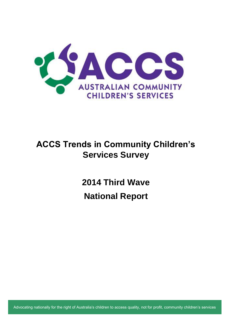

## **ACCS Trends in Community Children's Services Survey**

**2014 Third Wave National Report** 

Advocating nationally for the right of Australia's children to access quality, not for profit, community children's services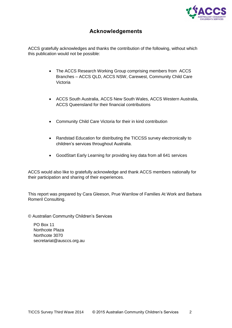

## **Acknowledgements**

<span id="page-1-0"></span>ACCS gratefully acknowledges and thanks the contribution of the following, without which this publication would not be possible:

- The ACCS Research Working Group comprising members from ACCS Branches – ACCS QLD, ACCS NSW, Carewest, Community Child Care Victoria
- ACCS South Australia, ACCS New South Wales, ACCS Western Australia, ACCS Queensland for their financial contributions
- Community Child Care Victoria for their in kind contribution
- Randstad Education for distributing the TICCSS survey electronically to children's services throughout Australia.
- GoodStart Early Learning for providing key data from all 641 services

ACCS would also like to gratefully acknowledge and thank ACCS members nationally for their participation and sharing of their experiences.

This report was prepared by Cara Gleeson, Prue Warrilow of Families At Work and Barbara Romeril Consulting.

© Australian Community Children's Services

PO Box 11 Northcote Plaza Northcote 3070 secretariat@ausccs.org.au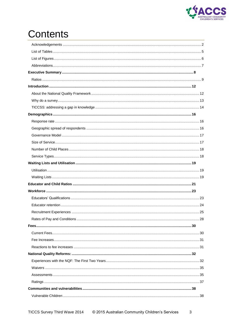

# **Contents**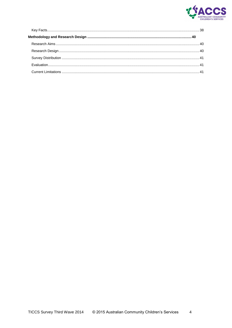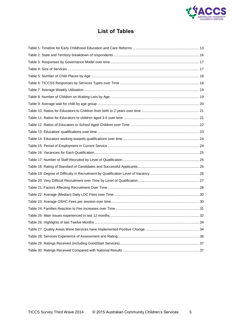

## **List of Tables**

<span id="page-4-0"></span>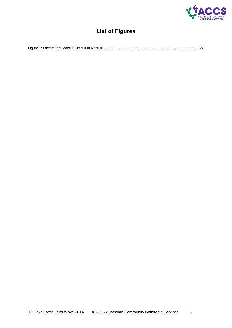

## **List of Figures**

<span id="page-5-0"></span>

|--|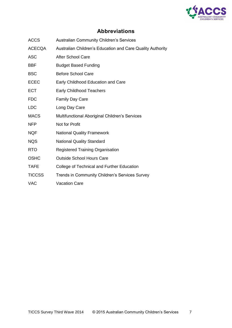

## **Abbreviations**

- <span id="page-6-0"></span>ACCS Australian Community Children's Services
- ACECQA Australian Children's Education and Care Quality Authority
- ASC After School Care
- BBF Budget Based Funding
- BSC Before School Care
- ECEC Early Childhood Education and Care
- ECT Early Childhood Teachers
- FDC Family Day Care
- LDC Long Day Care
- MACS Multifunctional Aboriginal Children's Services
- NFP Not for Profit
- NQF National Quality Framework
- NQS National Quality Standard
- RTO Registered Training Organisation
- OSHC Outside School Hours Care
- TAFE College of Technical and Further Education
- TICCSS Trends in Community Children's Services Survey
- VAC Vacation Care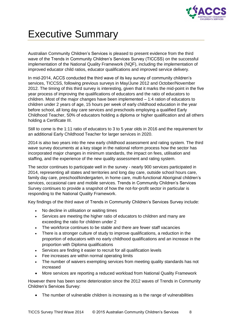

# <span id="page-7-0"></span>Executive Summary

Australian Community Children's Services is pleased to present evidence from the third wave of the Trends in Community Children's Services Survey (TICCSS) on the successful implementation of the National Quality Framework (NQF), including the implementation of improved educator child ratios, educator qualifications and improved service delivery.

In mid-2014, ACCS conducted the third wave of its key survey of community children's services, TICCSS, following previous surveys in May/June 2012 and October/November 2012. The timing of this third survey is interesting, given that it marks the mid-point in the five year process of improving the qualifications of educators and the ratio of educators to children. Most of the major changes have been implemented – 1:4 ration of educators to children under 2 years of age, 15 hours per week of early childhood education in the year before school, all long day care services and preschools employing a qualified Early Childhood Teacher, 50% of educators holding a diploma or higher qualification and all others holding a Certificate III.

Still to come is the 1:11 ratio of educators to 3 to 5 year olds in 2016 and the requirement for an additional Early Childhood Teacher for larger services in 2020.

2014 is also two years into the new early childhood assessment and rating system. The third wave survey documents at a key stage in the national reform process how the sector has incorporated major changes in minimum standards, the impact on fees, utilisation and staffing, and the experience of the new quality assessment and rating system.

The sector continues to participate well in the survey - nearly 900 services participated in 2014, representing all states and territories and long day care, outside school hours care, family day care, preschool/kindergarten, in home care, multi-functional Aboriginal children's services, occasional care and mobile services. Trends in Community Children's Services Survey continues to provide a snapshot of how the not-for-profit sector in particular is responding to the National Quality Framework.

Key findings of the third wave of Trends in Community Children's Services Survey include:

- No decline in utilisation or waiting times
- Services are meeting the higher ratio of educators to children and many are exceeding the ratio for children under 2
- The workforce continues to be stable and there are fewer staff vacancies
- There is a stronger culture of study to improve qualifications, a reduction in the proportion of educators with no early childhood qualifications and an increase in the proportion with Diploma qualifications
- Services are finding it easier to recruit for all qualification levels
- Fee increases are within normal operating limits
- The number of waivers exempting services from meeting quality standards has not increased
- More services are reporting a reduced workload from National Quality Framework

However there has been some deterioration since the 2012 waves of Trends in Community Children's Services Survey:

• The number of vulnerable children is increasing as is the range of vulnerabilities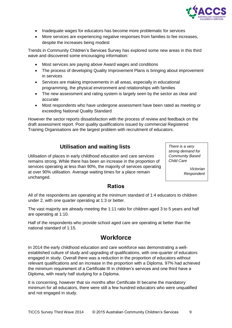

- Inadequate wages for educators has become more problematic for services
- More services are experiencing negative responses from families to fee increases, despite the increases being modest

Trends in Community Children's Services Survey has explored some new areas in this third wave and discovered some encouraging information:

- Most services are paying above Award wages and conditions
- The process of developing Quality Improvement Plans is bringing about improvement in services
- Services are making improvements in all areas, especially in educational programming, the physical environment and relationships with families
- The new assessment and rating system is largely seen by the sector as clear and accurate
- Most respondents who have undergone assessment have been rated as meeting or exceeding National Quality Standard

However the sector reports dissatisfaction with the process of review and feedback on the draft assessment report. Poor quality qualifications issued by commercial Registered Training Organisations are the largest problem with recruitment of educators.

### **Utilisation and waiting lists**

Utilisation of places in early childhood education and care services remains strong. While there has been an increase in the proportion of services operating at less than 90%, the majority of services operating at over 90% utilisation. Average waiting times for a place remain unchanged.

*There is a very strong demand for Community Based Child Care* 

> *Victorian Respondent*

### **Ratios**

<span id="page-8-0"></span>All of the respondents are operating at the minimum standard of 1:4 educators to children under 2, with one quarter operating at 1:3 or better.

The vast majority are already meeting the 1:11 ratio for children aged 3 to 5 years and half are operating at 1:10.

Half of the respondents who provide school aged care are operating at better than the national standard of 1:15.

## **Workforce**

In 2014 the early childhood education and care workforce was demonstrating a wellestablished culture of study and upgrading of qualifications, with one-quarter of educators engaged in study. Overall there was a reduction in the proportion of educators without relevant qualifications and an increase in the proportion with a Diploma. 97% had achieved the minimum requirement of a Certificate III in children's services and one third have a Diploma, with nearly half studying for a Diploma.

It is concerning, however that six months after Certificate III became the mandatory minimum for all educators, there were still a few hundred educators who were unqualified and not engaged in study.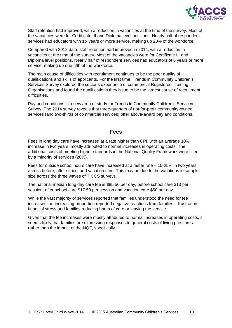

Staff retention had improved, with a reduction in vacancies at the time of the survey. Most of the vacancies were for Certificate III and Diploma level positions. Nearly half of respondent services had educators with six years or more service, making up 20% of the workforce.

Compared with 2012 data, staff retention had improved in 2014, with a reduction in vacancies at the time of the survey. Most of the vacancies were for Certificate III and Diploma level positions. Nearly half of respondent services had educators of 6 years or more service, making up one-fifth of the workforce.

The main cause of difficulties with recruitment continues to be the poor quality of qualifications and skills of applicants. For the first time, Trends in Community Children's Services Survey explored the sector's experience of commercial Registered Training Organisations and found the qualifications they issue to be the largest cause of recruitment difficulties.

Pay and conditions is a new area of study for Trends in Community Children's Services Survey. The 2014 survey reveals that three-quarters of not-for-profit community-owned services (and two-thirds of commercial services) offer above-award pay and conditions.

### **Fees**

Fees in long day care have increased at a rate higher than CPI, with an average 10% increase in two years, mostly attributed to normal increases in operating costs. The additional costs of meeting higher standards in the National Quality Framework were cited by a minority of services (20%).

Fees for outside school hours care have increased at a faster rate – 15-25% in two years across before, after school and vacation care. This may be due to the variations in sample size across the three waves of TICCS surveys.

The national median long day care fee is \$85.50 per day, before school care \$13 per session, after school care \$17.50 per session and vacation care \$50 per day.

While the vast majority of services reported that families understood the need for fee increases, an increasing proportion reported negative reactions from families – frustration, financial stress and families reducing hours of care or leaving the service.

Given that the fee increases were mostly attributed to normal increases in operating costs, it seems likely that families are expressing responses to general costs of living pressures rather than the impact of the NQF, specifically.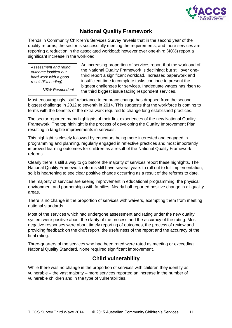

## **National Quality Framework**

Trends in Community Children's Services Survey reveals that in the second year of the quality reforms, the sector is successfully meeting the requirements, and more services are reporting a reduction in the associated workload; however over one-third (40%) report a significant increase in the workload.

*Assessment and rating outcome justified our hard work with a good result (Exceeding)*

*NSW Respondent*

An increasing proportion of services report that the workload of the National Quality Framework is declining; but still over onethird report a significant workload. Increased paperwork and insufficient time to complete tasks continue to present the biggest challenges for services. Inadequate wages has risen to the third biggest issue facing respondent services.

Most encouragingly, staff reluctance to embrace change has dropped from the second biggest challenge in 2012 to seventh in 2014. This suggests that the workforce is coming to terms with the benefits of the extra work required to change long established practices.

The sector reported many highlights of their first experiences of the new National Quality Framework. The top highlight is the process of developing the Quality Improvement Plan resulting in tangible improvements in services.

This highlight is closely followed by educators being more interested and engaged in programming and planning, regularly engaged in reflective practices and most importantly improved learning outcomes for children as a result of the National Quality Framework reforms.

Clearly there is still a way to go before the majority of services report these highlights. The National Quality Framework reforms still have several years to roll out to full implementation, so it is heartening to see clear positive change occurring as a result of the reforms to date.

The majority of services are seeing improvement in educational programming, the physical environment and partnerships with families. Nearly half reported positive change in all quality areas.

There is no change in the proportion of services with waivers, exempting them from meeting national standards.

Most of the services which had undergone assessment and rating under the new quality system were positive about the clarity of the process and the accuracy of the rating. Most negative responses were about timely reporting of outcomes, the process of review and providing feedback on the draft report, the usefulness of the report and the accuracy of the final rating.

Three-quarters of the services who had been rated were rated as meeting or exceeding National Quality Standard. None required significant improvement.

## **Child vulnerability**

While there was no change in the proportion of services with children they identify as vulnerable – the vast majority – more services reported an increase in the number of vulnerable children and in the type of vulnerabilities.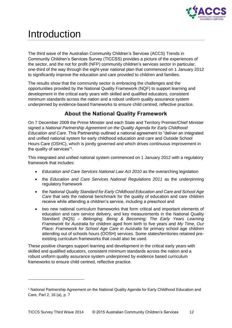

# <span id="page-11-0"></span>Introduction

-

The third wave of the Australian Community Children's Services (ACCS) Trends in Community Children's Services Survey (TICCSS) provides a picture of the experiences of the sector, and the not for profit (NFP) community children's services sector in particular, one-third of the way through the eight-year national plan that commenced on 1 January 2012 to significantly improve the education and care provided to children and families.

The results show that the community sector is embracing the challenges and the opportunities provided by the National Quality Framework (NQF) to support learning and development in the critical early years with skilled and qualified educators, consistent minimum standards across the nation and a robust uniform quality assurance system underpinned by evidence-based frameworks to ensure child centred, reflective practice.

## **About the National Quality Framework**

<span id="page-11-1"></span>On 7 December 2009 the Prime Minister and each State and Territory Premier/Chief Minister signed a *National Partnership Agreement on the Quality Agenda for Early Childhood Education and Care*. This Partnership outlined a national agreement to "deliver an integrated and unified national system for early childhood education and care and Outside School Hours Care (OSHC), which is jointly governed and which drives continuous improvement in the quality of services"<sup>1</sup> .

This integrated and unified national system commenced on 1 January 2012 with a regulatory framework that includes:

- *Education and Care Services National Law Act 2010* as the overarching legislation
- the *Education and Care Services National Regulations 2011* as the underpinning regulatory framework
- the *National Quality Standard for Early Childhood Education and Care and School Age Care* that sets the national benchmark for the quality of education and care children receive while attending a children's service, including a preschool and
- two new national curriculum frameworks that form critical and important elements of education and care service delivery, and key measurements in the National Quality Standard (NQS) – *Belonging, Being & Becoming; The Early Years Learning Framework for Australia* for children aged from birth to five years and *My Time, Our Place: Framework for School Age Care in Australia* for primary school age children attending out of schools hours (OOSH) services. Some states/territories retained preexisting curriculum frameworks that could also be used.

These positive changes support learning and development in the critical early years with skilled and qualified educators, consistent minimum standards across the nation and a robust uniform quality assurance system underpinned by evidence based curriculum frameworks to ensure child centred, reflective practice.

<sup>1</sup> National Partnership Agreement on the National Quality Agenda for Early Childhood Education and Care, Part 2, 16 (a), p. 7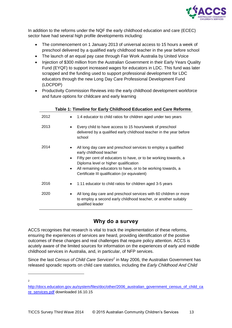

In addition to the reforms under the NQF the early childhood education and care (ECEC) sector have had several high profile developments including:

- The commencement on 1 January 2013 of universal access to 15 hours a week of preschool delivered by a qualified early childhood teacher in the year before school
- The launch of an equal pay case through Fair Work Australia by United Voice
- Injection of \$300 million from the Australian Government in their Early Years Quality Fund (EYQF) to support increased wages for educators in LDC. This fund was later scrapped and the funding used to support professional development for LDC educators through the new Long Day Care Professional Development Fund (LDCPDP)
- Productivity Commission Reviews into the early childhood development workforce and future options for childcare and early learning

**Table 1: Timeline for Early Childhood Education and Care Reforms**

<span id="page-12-1"></span>

|      | Table 1. Thriefine for Early Childhood Education and Care Reforms                                                                                                                                                                                                                                                                                              |
|------|----------------------------------------------------------------------------------------------------------------------------------------------------------------------------------------------------------------------------------------------------------------------------------------------------------------------------------------------------------------|
| 2012 | 1:4 educator to child ratios for children aged under two years<br>$\bullet$                                                                                                                                                                                                                                                                                    |
| 2013 | Every child to have access to 15 hours/week of preschool<br>delivered by a qualified early childhood teacher in the year before<br>school                                                                                                                                                                                                                      |
| 2014 | All long day care and preschool services to employ a qualified<br>$\bullet$<br>early childhood teacher<br>Fifty per cent of educators to have, or to be working towards, a<br>$\bullet$<br>Diploma level or higher qualification<br>All remaining educators to have, or to be working towards, a<br>$\bullet$<br>Certificate III qualification (or equivalent) |
| 2016 | 1:11 educator to child ratios for children aged 3-5 years<br>$\bullet$                                                                                                                                                                                                                                                                                         |
| 2020 | All long day care and preschool services with 60 children or more<br>to employ a second early childhood teacher, or another suitably<br>qualified leader                                                                                                                                                                                                       |

## **Why do a survey**

<span id="page-12-0"></span>ACCS recognises that research is vital to track the implementation of these reforms, ensuring the experiences of services are heard, providing identification of the positive outcomes of these changes and real challenges that require policy attention. ACCS is acutely aware of the limited sources for information on the experiences of early and middle childhood services in Australia, and, in particular, of NFP services.

Since the last *Census of Child Care Services<sup>2</sup>* in May 2006, the Australian Government has released sporadic reports on child care statistics, including the *Early Childhood And Child* 

- $\overline{2}$ 

[http://docs.education.gov.au/system/files/doc/other/2006\\_australian\\_government\\_census\\_of\\_child\\_ca](http://docs.education.gov.au/system/files/doc/other/2006_australian_government_census_of_child_care_services.pdf) [re\\_services.pdf](http://docs.education.gov.au/system/files/doc/other/2006_australian_government_census_of_child_care_services.pdf) downloaded 16.10.15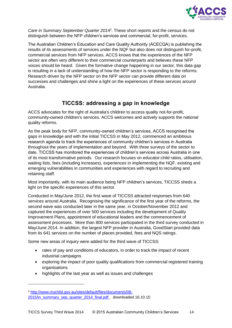

*Care in Summary September Quarter 201*4 3 . These short reports and the census do not distinguish between the NFP children's services and commercial, for-profit, services.

The Australian Children's Education and Care Quality Authority (ACECQA) is publishing the results of its assessments of services under the NQF but also does not distinguish for-profit, commercial services from NFP services. ACCS knows that the experiences of the NFP sector are often very different to their commercial counterparts and believes these NFP voices should be heard. Given the formative change happening in our sector, this data gap is resulting in a lack of understanding of how the NFP sector is responding to the reforms. Research driven by the NFP sector on the NFP sector can provide different data on successes and challenges and shine a light on the experiences of these services around Australia.

## **TICCSS: addressing a gap in knowledge**

<span id="page-13-0"></span>ACCS advocates for the right of Australia's children to access quality not-for-profit, community-owned children's services. ACCS welcomes and actively supports the national quality reforms.

As the peak body for NFP, community-owned children's services, ACCS recognised the gaps in knowledge and with the initial TICCSS in May 2012, commenced an ambitious research agenda to track the experiences of community children's services in Australia throughout the years of implementation and beyond. With three surveys of the sector to date, TICCSS has monitored the experiences of children's services across Australia in one of its most transformative periods. Our research focuses on educator:child ratios, utilisation, waiting lists, fees (including increases), experiences in implementing the NQF, existing and emerging vulnerabilities in communities and experiences with regard to recruiting and retaining staff.

Most importantly, with its main audience being NFP children's services, TICCSS sheds a light on the specific experiences of this sector.

Conducted in May/June 2012, the first wave of TICCSS attracted responses from 640 services around Australia. Recognising the significance of the first year of the reforms, the second wave was conducted later in the same year, in October/November 2012 and captured the experiences of over 500 services including the development of Quality Improvement Plans, appointment of educational leaders and the commencement of assessment processes. More than 800 services participated in the third survey conducted in May/June 2014. In addition, the largest NFP provider in Australia, GoodStart provided data from its 641 services on the number of places provided, fees and NQS ratings.

Some new areas of inquiry were added for the third wave of TICCSS:

- rates of pay and conditions of educators, in order to track the impact of recent industrial campaigns
- exploring the impact of poor quality qualifications from commercial registered training organisations
- highlights of the last year as well as issues and challenges

-

<sup>3</sup> [http://www.mychild.gov.au/sites/default/files/documents/08-](http://www.mychild.gov.au/sites/default/files/documents/08-2015/in_summary_sep_quarter_2014_final.pdf) [2015/in\\_summary\\_sep\\_quarter\\_2014\\_final.pdf](http://www.mychild.gov.au/sites/default/files/documents/08-2015/in_summary_sep_quarter_2014_final.pdf) downloaded 16.10.15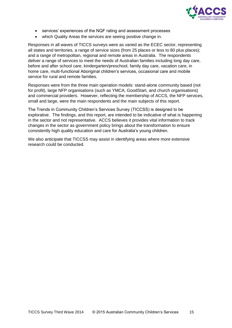

- services' experiences of the NQF rating and assessment processes
- which Quality Areas the services are seeing positive change in.

Responses in all waves of TICCS surveys were as varied as the ECEC sector, representing all states and territories, a range of service sizes (from 25 places or less to 80 plus places); and a range of metropolitan, regional and remote areas in Australia. The respondents deliver a range of services to meet the needs of Australian families including long day care, before and after school care, kindergarten/preschool, family day care, vacation care, in home care, multi-functional Aboriginal children's services, occasional care and mobile service for rural and remote families.

Responses were from the three main operation models: stand-alone community based (not for profit), large NFP organisations (such as YMCA, GoodStart, and church organisations) and commercial providers. However, reflecting the membership of ACCS, the NFP services, small and large, were the main respondents and the main subjects of this report.

The Trends in Community Children's Services Survey (TICCSS) is designed to be explorative. The findings, and this report, are intended to be indicative of what is happening in the sector and not representative. ACCS believes it provides vital information to track changes in the sector as government policy brings about the transformation to ensure consistently high quality education and care for Australia's young children.

We also anticipate that TICCSS may assist in identifying areas where more extensive research could be conducted.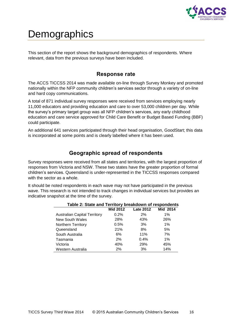

## <span id="page-15-0"></span>**Demographics**

This section of the report shows the background demographics of respondents. Where relevant, data from the previous surveys have been included.

### **Response rate**

<span id="page-15-1"></span>The ACCS TICCSS 2014 was made available on-line through Survey Monkey and promoted nationally within the NFP community children's services sector through a variety of on-line and hard copy communications.

A total of 871 individual survey responses were received from services employing nearly 11,000 educators and providing education and care to over 53,000 children per day. While the survey's primary target group was all NFP children's services, any early childhood education and care service approved for Child Care Benefit or Budget Based Funding (BBF) could participate.

An additional 641 services participated through their head organisation, GoodStart; this data is incorporated at some points and is clearly labelled where it has been used.

## **Geographic spread of respondents**

<span id="page-15-2"></span>Survey responses were received from all states and territories, with the largest proportion of responses from Victoria and NSW. These two states have the greater proportion of formal children's services. Queensland is under-represented in the TICCSS responses compared with the sector as a whole.

<span id="page-15-3"></span>It should be noted respondents in each wave may not have participated in the previous wave. This research is not intended to track changes in individual services but provides an indicative snapshot at the time of the survey.

| Table 2: State and Territory breakdown of respondents |                 |                  |          |  |  |  |
|-------------------------------------------------------|-----------------|------------------|----------|--|--|--|
|                                                       | <b>Mid 2012</b> | <b>Late 2012</b> | Mid 2014 |  |  |  |
| <b>Australian Capital Territory</b>                   | 0.2%            | 2%               | $1\%$    |  |  |  |
| New South Wales                                       | 28%             | 43%              | 26%      |  |  |  |
| Northern Territory                                    | 0.5%            | 3%               | $1\%$    |  |  |  |
| Queensland                                            | 21%             | 8%               | 5%       |  |  |  |
| South Australia                                       | 6%              | 11%              | 7%       |  |  |  |
| Tasmania                                              | 2%              | 0.4%             | $1\%$    |  |  |  |
| Victoria                                              | 40%             | 29%              | 45%      |  |  |  |
| Western Australia                                     | 2%              | 3%               | 14%      |  |  |  |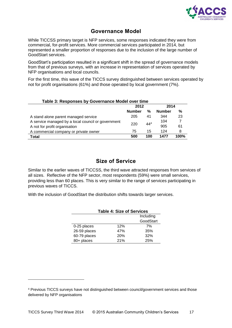

## **Governance Model**

<span id="page-16-0"></span>While TICCSS primary target is NFP services, some responses indicated they were from commercial, for-profit services. More commercial services participated in 2014, but represented a smaller proportion of responses due to the inclusion of the large number of GoodStart services.

GoodStart's participation resulted in a significant shift in the spread of governance models from that of previous surveys, with an increase in representation of services operated by NFP organisations and local councils.

For the first time, this wave of the TICCS survey distinguished between services operated by not for profit organisations (61%) and those operated by local government (7%).

<span id="page-16-2"></span>

| Table 3: Responses by Governance Model over time   |               |          |               |      |  |  |  |
|----------------------------------------------------|---------------|----------|---------------|------|--|--|--|
|                                                    | 2012<br>2014  |          |               |      |  |  |  |
|                                                    | <b>Number</b> | %        | <b>Number</b> | %    |  |  |  |
| A stand alone parent managed service               | 205           | 41       | 344           | 23   |  |  |  |
| A service managed by a local council or government | 220           | $44^{4}$ | 104           |      |  |  |  |
| A not for profit organisation                      |               |          | 905           | 61   |  |  |  |
| A commercial company or private owner              | 75            | 15       | 124           | 8    |  |  |  |
| <b>Total</b>                                       | 500           | 100      | 1477          | 100% |  |  |  |

## **Size of Service**

<span id="page-16-1"></span>Similar to the earlier waves of TICCSS, the third wave attracted responses from services of all sizes. Reflective of the NFP sector, most respondents (59%) were small services, providing less than 60 places. This is very similar to the range of services participating in previous waves of TICCS.

<span id="page-16-3"></span>With the inclusion of GoodStart the distribution shifts towards larger services.

| <b>Table 4: Size of Services</b> |     |     |  |  |  |
|----------------------------------|-----|-----|--|--|--|
| Including                        |     |     |  |  |  |
| GoodStart                        |     |     |  |  |  |
| 0-25 places                      | 12% | 7%  |  |  |  |
| 26-59 places                     | 47% | 35% |  |  |  |
| 60-79 places                     | 20% | 32% |  |  |  |
| 80+ places                       | 21% | 25% |  |  |  |

-

<sup>4</sup> Previous TICCS surveys have not distinguished between council/government services and those delivered by NFP organisations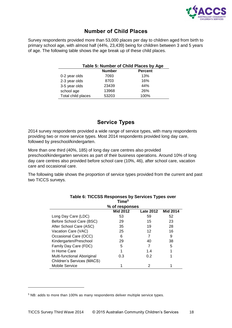

## **Number of Child Places**

<span id="page-17-2"></span><span id="page-17-0"></span>Survey respondents provided more than 53,000 places per day to children aged from birth to primary school age, with almost half (44%, 23,439) being for children between 3 and 5 years of age. The following table shows the age break up of these child places.

| Table 5: Number of Child Places by Age |       |      |  |  |  |  |
|----------------------------------------|-------|------|--|--|--|--|
| <b>Number</b><br><b>Percent</b>        |       |      |  |  |  |  |
| 0-2 year olds                          | 7093  | 13%  |  |  |  |  |
| 2-3 year olds                          | 8703  | 16%  |  |  |  |  |
| 3-5 year olds                          | 23439 | 44%  |  |  |  |  |
| school age                             | 13968 | 26%  |  |  |  |  |
| Total child places                     | 53203 | 100% |  |  |  |  |

## **Service Types**

<span id="page-17-1"></span>2014 survey respondents provided a wide range of service types, with many respondents providing two or more service types. Most 2014 respondents provided long day care, followed by preschool/kindergarten.

More than one third (40%, 185) of long day care centres also provided preschool/kindergarten services as part of their business operations. Around 10% of long day care centres also provided before school care (10%, 46), after school care, vacation care and occasional care.

The following table shows the proportion of service types provided from the current and past two TICCS surveys.

<span id="page-17-3"></span>

|                             | Time <sup>5</sup> |                  |                 |  |
|-----------------------------|-------------------|------------------|-----------------|--|
|                             | % of responses    |                  |                 |  |
|                             | <b>Mid 2012</b>   | <b>Late 2012</b> | <b>Mid 2014</b> |  |
| Long Day Care (LDC)         | 53                | 59               | 52              |  |
| Before School Care (BSC)    | 29                | 15               | 23              |  |
| After School Care (ASC)     | 35                | 19               | 28              |  |
| Vacation Care (VAC)         | 25                | 12               | 16              |  |
| Occasional Care (OCC)       | 6                 |                  | 9               |  |
| Kindergarten/Preschool      | 29                | 40               | 38              |  |
| Family Day Care (FDC)       | 5                 | 7                | 5               |  |
| In Home Care                |                   | 1.4              |                 |  |
| Multi-functional Aboriginal | 0.3               | 0.2              |                 |  |
| Children's Services (MACS)  |                   |                  |                 |  |
| <b>Mobile Service</b>       |                   | 2                |                 |  |

## **Table 6: TICCSS Responses by Services Types over**

-

<sup>5</sup> NB: adds to more than 100% as many respondents deliver multiple service types.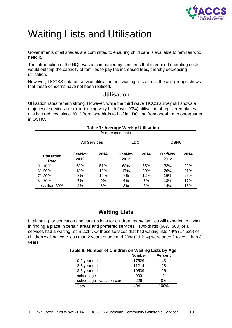

# <span id="page-18-0"></span>Waiting Lists and Utilisation

Governments of all shades are committed to ensuring child care is available to families who need it.

The introduction of the NQF was accompanied by concerns that increased operating costs would outstrip the capacity of families to pay the increased fees, thereby decreasing utilisation.

However, TICCSS data on service utilisation and waiting lists across the age groups shows that these concerns have not been realised.

### **Utilisation**

<span id="page-18-1"></span>Utilisation rates remain strong. However, while the third wave TICCS survey still shows a majority of services are experiencing very high (over 90%) utilisation of registered places, this has reduced since 2012 from two-thirds to half in LDC and from one-third to one-quarter in OSHC.

<span id="page-18-3"></span>

| <b>Table 7: Average Weekly Utilisation</b> |                     |      |                 |            |                 |      |  |
|--------------------------------------------|---------------------|------|-----------------|------------|-----------------|------|--|
|                                            | % of respondents    |      |                 |            |                 |      |  |
|                                            | <b>All Services</b> |      | <b>LDC</b>      |            | <b>OSHC</b>     |      |  |
| <b>Utilisation</b><br>Rate                 | Oct/Nov<br>2012     | 2014 | Oct/Nov<br>2012 | 2014       | Oct/Nov<br>2012 | 2014 |  |
| $91 - 100%$                                | 63%                 | 51%  | 68%             | 55%        | 32%             | 23%  |  |
| $81 - 90%$                                 | 18%                 | 19%  | 17%             | <b>20%</b> | 26%             | 21%  |  |
| 71-80%                                     | 8%                  | 14%  | 7%              | 12%        | 16%             | 26%  |  |
| 61-70%                                     | 7%                  | 9%   | 6%              | 8%         | 13%             | 17%  |  |
| Less than 60%                              | 4%                  | 8%   | 3%              | 6%         | 14%             | 13%  |  |

## **Waiting Lists**

<span id="page-18-4"></span><span id="page-18-2"></span>In planning for education and care options for children, many families will experience a wait in finding a place in certain areas and preferred services. Two-thirds (66%, 568) of all services had a waiting list in 2014. Of those services that had waiting lists 44% (17,529) of children waiting were less than 2 years of age and 29% (11,214) were aged 2 to less than 3 years.

|  |  | Table 8: Number of Children on Waiting Lists by Age |  |  |  |
|--|--|-----------------------------------------------------|--|--|--|
|  |  |                                                     |  |  |  |

|                            | <b>Number</b> | <b>Percent</b> |
|----------------------------|---------------|----------------|
| 0-2 year olds              | 17529         | 43             |
| 2-3 year olds              | 11214         | 28             |
| 3-5 year olds              | 10539         | 26             |
| school age                 | 903           | 2              |
| school age - vacation care | 226           | 0.6            |
| Total                      | 40411         | 1በበ%           |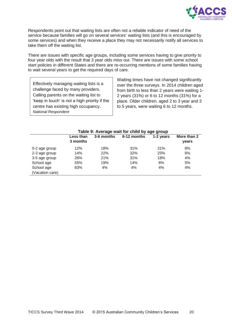

Respondents point out that waiting lists are often not a reliable indicator of need of the service because families will go on several services' waiting lists (and this is encouraged by some services) and when they receive a place they may not necessarily notify all services to take them off the waiting list.

There are issues with specific age groups, including some services having to give priority to four year olds with the result that 3 year olds miss out. There are issues with some school start policies in different States and there are re-occurring mentions of some families having to wait several years to get the required days of care.

Effectively managing waiting lists is a challenge faced by many providers. Calling parents on the waiting list to 'keep in touch' is not a high priority if the centre has existing high occupancy. *National Respondent*

Waiting times have not changed significantly over the three surveys. In 2014 children aged from birth to less than 2 years were waiting 1- 2 years (31%) or 6 to 12 months (31%) for a place. Older children, aged 2 to 3 year and 3 to 5 years, were waiting 6 to 12 months.

<span id="page-19-0"></span>

| Table 9: Average wait for child by age group |                                                     |     |     |     |       |  |  |
|----------------------------------------------|-----------------------------------------------------|-----|-----|-----|-------|--|--|
|                                              | 6-12 months<br>1-2 years<br>Less than<br>3-6 months |     |     |     |       |  |  |
|                                              | 3 months                                            |     |     |     | years |  |  |
| 0-2 age group                                | 12%                                                 | 18% | 31% | 31% | 8%    |  |  |
| 2-3 age group                                | 14%                                                 | 22% | 32% | 25% | 6%    |  |  |
| 3-5 age group                                | 26%                                                 | 21% | 31% | 18% | 4%    |  |  |
| School age                                   | 55%                                                 | 19% | 14% | 8%  | 5%    |  |  |
| School age                                   | 83%                                                 | 4%  | 4%  | 4%  | 4%    |  |  |
| (Vacation care)                              |                                                     |     |     |     |       |  |  |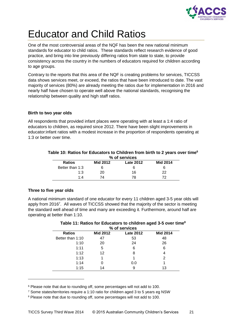

# <span id="page-20-0"></span>Educator and Child Ratios

One of the most controversial areas of the NQF has been the new national minimum standards for educator to child ratios. These standards reflect research evidence of good practice, and bring into line previously differing ratios from state to state, to provide consistency across the country in the numbers of educators required for children according to age groups.

Contrary to the reports that this area of the NQF is creating problems for services, TICCSS data shows services meet, or exceed, the ratios that have been introduced to date. The vast majority of services (80%) are already meeting the ratios due for implementation in 2016 and nearly half have chosen to operate well above the national standards, recognising the relationship between quality and high staff ratios.

### **Birth to two year olds**

All respondents that provided infant places were operating with at least a 1:4 ratio of educators to children, as required since 2012. There have been slight improvements in educator:infant ratios with a modest increase in the proportion of respondents operating at 1:3 or better over time.

#### <span id="page-20-1"></span>**Table 10: Ratios for Educators to Children from birth to 2 years over time<sup>6</sup> % of services**

|                 | 70 YI YIVGJ |                  |                 |  |  |  |  |
|-----------------|-------------|------------------|-----------------|--|--|--|--|
| <b>Ratios</b>   | Mid 2012    | <b>Late 2012</b> | <b>Mid 2014</b> |  |  |  |  |
| Better than 1:3 |             | b                |                 |  |  |  |  |
| 1:3             | 20          | 16               | 22              |  |  |  |  |
| 1.4             | 74          | 78               | 72              |  |  |  |  |

### **Three to five year olds**

-

<span id="page-20-2"></span>A national minimum standard of one educator for every 11 children aged 3-5 year olds will apply from 2016<sup>7</sup>. All waves of TICCSS showed that the majority of the sector is meeting the standard well ahead of time and many are exceeding it. Furthermore, around half are operating at better than 1:10.

#### **Table 11: Ratios for Educators to children aged 3-5 over time<sup>8</sup> % of services**

| 70 UI SEI VILES  |                 |                  |                 |  |  |  |
|------------------|-----------------|------------------|-----------------|--|--|--|
| <b>Ratios</b>    | <b>Mid 2012</b> | <b>Late 2012</b> | <b>Mid 2014</b> |  |  |  |
| Better than 1:10 | 47              | 53               | 48              |  |  |  |
| 1:10             | 20              | 24               | 26              |  |  |  |
| 1:11             | 5               | 6                | 6               |  |  |  |
| 1:12             | 12              | 8                | 4               |  |  |  |
| 1:13             |                 |                  | 2               |  |  |  |
| 1:14             |                 | 0.0              |                 |  |  |  |
| 1:15             | 14              | 9                | 13              |  |  |  |

<sup>6</sup> Please note that due to rounding off, some percentages will not add to 100.

<sup>8</sup> Please note that due to rounding off, some percentages will not add to 100.

<sup>7</sup> Some states/territories require a 1:10 ratio for children aged 3 to 5 years eg NSW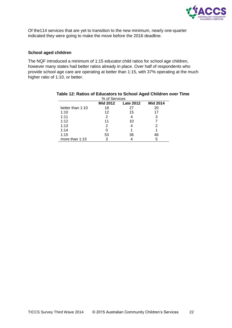

Of the114 services that are yet to transition to the new minimum, nearly one-quarter indicated they were going to make the move before the 2016 deadline.

#### **School aged children**

The NQF introduced a minimum of 1:15 educator:child ratios for school age children, however many states had better ratios already in place. Over half of respondents who provide school age care are operating at better than 1:15, with 37% operating at the much higher ratio of 1:10, or better.

| <u>yo ui Seivices</u>                           |    |    |    |  |  |  |  |  |
|-------------------------------------------------|----|----|----|--|--|--|--|--|
| <b>Mid 2014</b><br>Mid 2012<br><b>Late 2012</b> |    |    |    |  |  |  |  |  |
| better than 1:10                                | 18 | 27 | 20 |  |  |  |  |  |
| 1:10                                            | 12 | 15 | 17 |  |  |  |  |  |
| 1:11                                            | 2  |    | 3  |  |  |  |  |  |
| 1:12                                            | 11 | 10 |    |  |  |  |  |  |
| 1:13                                            | 2  |    |    |  |  |  |  |  |
| 1:14                                            |    |    |    |  |  |  |  |  |
| 1:15                                            | 53 | 36 | 46 |  |  |  |  |  |
| more than 1:15                                  | 3  |    | 5  |  |  |  |  |  |

#### <span id="page-21-0"></span>**Table 12: Ratios of Educators to School Aged Children over Time**  $M$  of Candos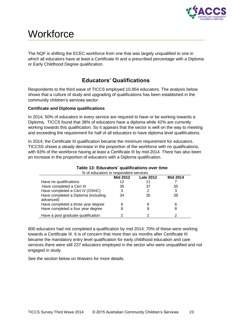

## <span id="page-22-0"></span>**Workforce**

The NQF is shifting the ECEC workforce from one that was largely unqualified to one in which all educators have at least a Certificate III and a prescribed percentage with a Diploma or Early Childhood Degree qualification.

## **Educators' Qualifications**

<span id="page-22-1"></span>Respondents to the third wave of TICCS employed 10,954 educators. The analysis below shows that a culture of study and upgrading of qualifications has been established in the community children's services sector.

### **Certificate and Diploma qualifications**

In 2014, 50% of educators in every service are required to have or be working towards a Diploma. TICCS found that 38% of educators have a diploma while 42% are currently working towards this qualification. So it appears that the sector is well on the way to meeting and exceeding the requirement for half of all educators to have diploma level qualifications.

In 2014, the Certificate III qualification became the minimum requirement for educators. TICCSS shows a steady decrease in the proportion of the workforce with no qualifications, with 93% of the workforce having at least a Certificate III by mid-2014. There has also been an increase in the proportion of educators with a Diploma qualification.

<span id="page-22-2"></span>

| rapic to: Ludcators qualifications over three<br>% of educators in respondent services |                                                        |    |    |  |  |  |  |  |  |
|----------------------------------------------------------------------------------------|--------------------------------------------------------|----|----|--|--|--|--|--|--|
|                                                                                        | <b>Mid 2014</b><br><b>Mid 2012</b><br><b>Late 2012</b> |    |    |  |  |  |  |  |  |
| Have no qualifications                                                                 | 12                                                     |    |    |  |  |  |  |  |  |
| Have completed a Cert III                                                              | 35                                                     | 37 | 35 |  |  |  |  |  |  |
| Have completed a Cert IV (OSHC)                                                        | 3                                                      |    | 3  |  |  |  |  |  |  |
| Have completed a Diploma (including<br>advanced)                                       | 34                                                     | 35 | 38 |  |  |  |  |  |  |
| Have completed a three year degree                                                     | 6                                                      |    | 6  |  |  |  |  |  |  |
| Have completed a four year degree                                                      | 8                                                      |    | 8  |  |  |  |  |  |  |
| Have a post graduate qualification                                                     | っ                                                      |    |    |  |  |  |  |  |  |

### **Table 13: Educators' qualifications over time**

800 educators had not completed a qualification by mid 2014; 70% of these were working towards a Certificate III. It is of concern that more than six months after Certificate III became the mandatory entry level qualification for early childhood education and care services there were still 237 educators employed in the sector who were unqualified and not engaged in study.

See the section below on Waivers for more details.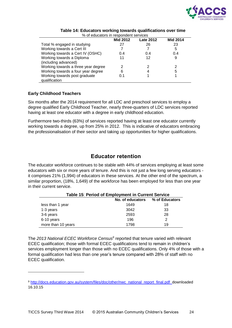

<span id="page-23-1"></span>

|                                     | <b>Mid 2012</b> | <b>Late 2012</b> | <b>Mid 2014</b> |  |
|-------------------------------------|-----------------|------------------|-----------------|--|
| Total % engaged in studying         | 27              | 26               | 23              |  |
| Working towards a Cert III          |                 |                  | 5               |  |
| Working towards a Cert IV (OSHC)    | 0.4             | 0.4              | 0.4             |  |
| Working towards a Diploma           | 11              | 12               | 9               |  |
| (including advanced)                |                 |                  |                 |  |
| Working towards a three year degree | 2               | 2                |                 |  |
| Working towards a four year degree  | 6               | 4                | 5               |  |
| Working towards post graduate       | 0.1             |                  |                 |  |
| qualification                       |                 |                  |                 |  |

#### **Table 14: Educators working towards qualifications over time** % of educators in respondent services

### **Early Childhood Teachers**

-

Six months after the 2014 requirement for all LDC and preschool services to employ a degree qualified Early Childhood Teacher, nearly three-quarters of LDC services reported having at least one educator with a degree in early childhood education.

Furthermore two-thirds (63%) of services reported having at least one educator currently working towards a degree, up from 25% in 2012. This is indicative of educators embracing the professionalisation of their sector and taking up opportunities for higher qualifications.

## **Educator retention**

<span id="page-23-0"></span>The educator workforce continues to be stable with 44% of services employing at least some educators with six or more years of tenure. And this is not just a few long serving educators it comprises 21% (1,994) of educators in these services. At the other end of the spectrum, a similar proportion, (18%, 1,649) of the workforce has been employed for less than one year in their current service.

<span id="page-23-2"></span>

| Table 15: Period of Employment in Current Service |      |    |  |  |  |  |
|---------------------------------------------------|------|----|--|--|--|--|
| % of Educators<br>No. of educators                |      |    |  |  |  |  |
| less than 1 year                                  | 1649 | 18 |  |  |  |  |
| 1-3 years                                         | 3042 | 33 |  |  |  |  |
| 3-6 years                                         | 2593 | 28 |  |  |  |  |
| 6-10 years                                        | 196  | 2  |  |  |  |  |
| more than 10 years                                | 1798 | 19 |  |  |  |  |

The *2013 National ECEC Workforce Census<sup>9</sup>* reported that tenure varied with relevant ECEC qualification; those with formal ECEC qualifications tend to remain in children's services employment longer than those with no ECEC qualifications. Only 4% of those with a formal qualification had less than one year's tenure compared with 28% of staff with no ECEC qualification.

<sup>9</sup> [http://docs.education.gov.au/system/files/doc/other/nwc\\_national\\_report\\_final.pdf](http://docs.education.gov.au/system/files/doc/other/nwc_national_report_final.pdf) downloaded 16.10.15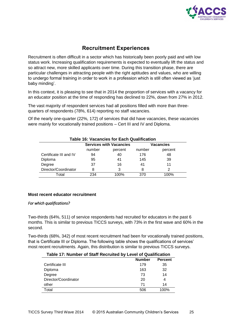

## **Recruitment Experiences**

<span id="page-24-0"></span>Recruitment is often difficult in a sector which has historically been poorly paid and with low status work. Increasing qualification requirements is expected to eventually lift the status and so attract new, more skilled applicants over time. During this transition phase, there are particular challenges in attracting people with the right aptitudes and values, who are willing to undergo formal training in order to work in a profession which is still often viewed as 'just baby minding'.

In this context, it is pleasing to see that in 2014 the proportion of services with a vacancy for an educator position at the time of responding has declined to 22%, down from 27% in 2012.

The vast majority of respondent services had all positions filled with more than threequarters of respondents (78%, 614) reporting no staff vacancies.

Of the nearly one-quarter (22%, 172) of services that did have vacancies, these vacancies were mainly for vocationally trained positions – Cert III and IV and Diploma.

<span id="page-24-1"></span>

| <b>Table 16: Vacancies for Each Qualification</b> |        |                                |        |           |  |  |
|---------------------------------------------------|--------|--------------------------------|--------|-----------|--|--|
|                                                   |        | <b>Services with Vacancies</b> |        | Vacancies |  |  |
|                                                   | number | percent                        | number | percent   |  |  |
| Certificate III and IV                            | 94     | 40                             | 176    | 48        |  |  |
| Diploma                                           | 95     | 41                             | 145    | 39        |  |  |
| Degree                                            | 37     | 16                             | 41     | 11        |  |  |
| Director/Coordinator                              |        | 3                              | 8      |           |  |  |
| Total                                             | 234    | 100%                           | 370    | 100%      |  |  |

#### **Most recent educator recruitment**

#### *For which qualifications?*

Two-thirds (64%, 511) of service respondents had recruited for educators in the past 6 months. This is similar to previous TICCS surveys, with 73% in the first wave and 60% in the second.

Two-thirds (68%, 342) of most recent recruitment had been for vocationally trained positions, that is Certificate III or Diploma. The following table shows the qualifications of services' most recent recruitments. Again, this distribution is similar to previous TICCS surveys.

#### <span id="page-24-2"></span>**Table 17: Number of Staff Recruited by Level of Qualification**

|                      | <b>Number</b> | <b>Percent</b> |
|----------------------|---------------|----------------|
| Certificate III      | 179           | 35             |
| Diploma              | 163           | 32             |
| Degree               | 73            | 14             |
| Director/Coordinator | 20            | 4              |
| other                | 71            | 14             |
| Total                | 506           | 100%           |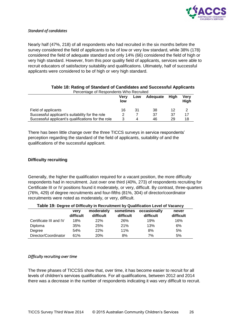

#### *Standard of candidates*

Nearly half (47%, 218) of all respondents who had recruited in the six months before the survey considered the field of applicants to be of low or very low standard, while 38% (178) considered the field of adequate standard and only 14% (66) considered the field of high or very high standard. However, from this poor quality field of applicants, services were able to recruit educators of satisfactory suitability and qualifications. Ultimately, half of successful applicants were considered to be of high or very high standard.

<span id="page-25-0"></span>

| Felcentage of Respondents Willy Recidited          |             |     |          |      |              |
|----------------------------------------------------|-------------|-----|----------|------|--------------|
|                                                    | Verv<br>low | Low | Adequate | Hiah | Verv<br>Hiah |
| Field of applicants                                | 16          | 31  | 38       |      |              |
| Successful applicant's suitability for the role    |             |     | 37       | 37   | 17           |
| Successful applicant's qualifications for the role |             | Δ   | 46       | 29   | 18           |

#### **Table 18: Rating of Standard of Candidates and Successful Applicants** Percentage of Respondents Who Recruited

There has been little change over the three TICCS surveys in service respondents' perception regarding the standard of the field of applicants, suitability of and the qualifications of the successful applicant.

#### **Difficulty recruiting**

Generally, the higher the qualification required for a vacant position, the more difficulty respondents had in recruitment. Just over one third (40%, 273) of respondents recruiting for Certificate III or IV positions found it moderately, or very, difficult. By contrast, three-quarters (76%, 429) of degree recruitments and four-fifths (81%, 304) of director/coordinator recruitments were noted as moderately, or very, difficult.

<span id="page-25-1"></span>

|                        | verv<br>difficult | moderately<br>difficult | sometimes<br>difficult | occasionally<br>difficult | never<br>difficult |
|------------------------|-------------------|-------------------------|------------------------|---------------------------|--------------------|
| Certificate III and IV | 18%               | <b>22%</b>              | 26%                    | 19%                       | 16%                |
| Diploma                | 35%               | 25%                     | 21%                    | 13%                       | 6%                 |
| Degree                 | 54%               | 22%                     | 11%                    | 8%                        | 5%                 |
| Director/Coordinator   | 61%               | 20%                     | 8%                     | 7%                        | 5%                 |

**Table 19: Degree of Difficulty in Recruitment by Qualification Level of Vacancy**

#### *Difficulty recruiting over time*

The three phases of TICCSS show that, over time, it has become easier to recruit for all levels of children's services qualifications. For all qualifications, between 2012 and 2014 there was a decrease in the number of respondents indicating it was very difficult to recruit.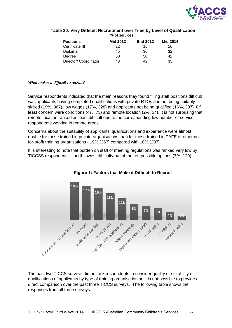

| <b>Positions</b>      | <b>Mid 2012</b> | <b>End 2012</b> | <b>Mid 2014</b> |
|-----------------------|-----------------|-----------------|-----------------|
| Certificate III       | 22              | 15              | 16              |
| Diploma               | 45              | 36              | 32              |
| Degree                | 50              | 50              | 42              |
| Director/ Coordinator | 43              | 42              | 33              |

#### <span id="page-26-0"></span>**Table 20: Very Difficult Recruitment over Time by Level of Qualification** % of services

#### *What makes it difficult to recruit?*

Service respondents indicated that the main reasons they found filling staff positions difficult was applicants having completed qualifications with private RTOs and not being suitably skilled (19%, 367), low wages (17%, 328) and applicants not being qualified (16%, 307). Of least concern were conditions (4%, 73) and remote location (2%, 34). It is not surprising that remote location ranked as least difficult due to the corresponding low number of service respondents working in remote areas.

Concerns about the suitability of applicants' qualifications and experience were almost double for those trained in private organisations than for those trained in TAFE or other notfor-profit training organisations - 19% (367) compared with 10% (207).

It is interesting to note that burden on staff of meeting regulations was ranked very low by TICCSS respondents - fourth lowest difficulty out of the ten possible options (7%, 129).

<span id="page-26-1"></span>

**Figure 1: Factors that Make it Difficult to Recruit**

The past two TICCS surveys did not ask respondents to consider quality or suitability of qualifications of applicants by type of training organisation so it is not possible to provide a direct comparison over the past three TICCS surveys. The following table shows the responses from all three surveys.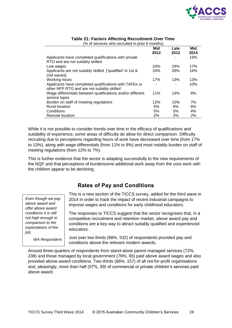

<span id="page-27-1"></span>

|                                                                                                      | Mid  | Late | Mid  |
|------------------------------------------------------------------------------------------------------|------|------|------|
|                                                                                                      | 2012 | 2012 | 2014 |
| Applicants have completed qualifications with private<br>RTO and are not suitably skilled            |      |      | 19%  |
| Low wages                                                                                            | 24%  | 24%  | 17%  |
| Applicants are not suitably skilled ['qualified' in 1st &<br>2nd waves                               | 24%  | 26%  | 16%  |
| Working hours                                                                                        | 17%  | 13%  | 13%  |
| Applicants have completed qualifications with TAFEs or<br>other NFP RTO and are not suitably skilled |      |      | 10%  |
| Wage differentials between qualifications and/or different<br>service types                          | 11%  | 14%  | 8%   |
| Burden on staff of meeting regulations                                                               | 12%  | 10%  | 7%   |
| <b>Rural location</b>                                                                                | 5%   | 6%   | 6%   |
| Conditions                                                                                           | 5%   | 5%   | 4%   |
| Remote location                                                                                      | 2%   | 2%   | 2%   |

#### **Table 21: Factors Affecting Recruitment Over Time**  $(0)$  of consigee who recruited in prior 6 months)

While it is not possible to consider trends over time in the efficacy of qualifications and suitability of experience, some areas of difficulty do allow for direct comparison. Difficulty recruiting due to perceptions regarding hours of work have decreased over time (from 17% to 13%), along with wage differentials (from 11% to 8%) and most notably burden on staff of meeting regulations (from 12% to 7%).

This is further evidence that the sector is adapting successfully to the new requirements of the NQF and that perceptions of burdensome additional work away from the core work with the children appear to be declining.

## **Rates of Pay and Conditions**

<span id="page-27-0"></span>*Even though we pay above award and offer above award conditions it is still not high enough in comparison to the expectations of the* 

*WA Respondent*

*job*.

This is a new section of the TICCS survey, added for the third wave in 2014 in order to track the impact of recent industrial campaigns to improve wages and conditions for early childhood educators.

The responses to TICCS suggest that the sector recognises that, in a competitive recruitment and retention market, above award pay and conditions are a key way to attract suitably qualified and experienced educators.

Just over two thirds (68%, 532) of respondents provided pay and conditions above the relevant modern awards.

Around three-quarters of respondents from stand-alone parent managed services (72%, 238) and those managed by local government (76%, 65) paid above award wages and also provided above-award conditions. Two-thirds (66%, 157) of all not-for-profit organisations and, pleasingly, more than half (57%, 59) of commercial or private children's services paid above award.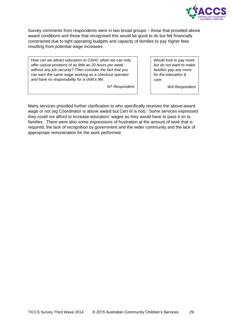

Survey comments from respondents were in two broad groups – those that provided above award conditions and those that recognised this would be good to do but felt financially constrained due to tight operating budgets and capacity of families to pay higher fees resulting from potential wage increases.

*How can we attract educators to OSHC when we can only offer casual positions of as little as 20 hours per week without any job security? Then consider the fact that you can earn the same wage working as a checkout operator and have no responsibility for a child's life.*

*NT Respondent*

*Would love to pay more but do not want to make families pay any more for the education & care.*

*WA Respondent*

Many services provided further clarification to who specifically receives the above-award wage or not (eg Coordinator is above award but Cert III is not). Some services expressed they could not afford to increase educators' wages as they would have to pass it on to families. There were also some expressions of frustration at the amount of work that is required, the lack of recognition by government and the wider community and the lack of appropriate remuneration for the work performed.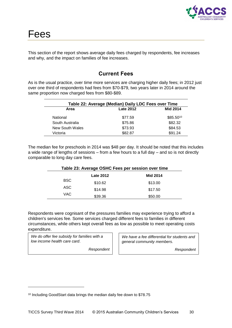

<span id="page-29-0"></span>This section of the report shows average daily fees charged by respondents, fee increases and why, and the impact on families of fee increases.

## **Current Fees**

<span id="page-29-1"></span>As is the usual practice, over time more services are charging higher daily fees; in 2012 just over one third of respondents had fees from \$70-\$79, two years later in 2014 around the same proportion now charged fees from \$80-\$89.

<span id="page-29-2"></span>

| Table 22: Average (Median) Daily LDC Fees over Time |                  |                 |  |
|-----------------------------------------------------|------------------|-----------------|--|
| Area                                                | <b>Late 2012</b> | <b>Mid 2014</b> |  |
| National                                            | \$77.59          | $$85.50^{10}$   |  |
| South Australia                                     | \$75.86          | \$82.32         |  |
| New South Wales                                     | \$73.93          | \$84.53         |  |
| Victoria                                            | \$82.87          | \$91.24         |  |

The median fee for preschools in 2014 was \$48 per day. It should be noted that this includes a wide range of lengths of sessions – from a few hours to a full day – and so is not directly comparable to long day care fees.

<span id="page-29-3"></span>

| Table 23: Average OSHC Fees per session over time |                  |                 |  |
|---------------------------------------------------|------------------|-----------------|--|
|                                                   | <b>Late 2012</b> | <b>Mid 2014</b> |  |
| <b>BSC</b>                                        | \$10.62          | \$13.00         |  |
| ASC                                               | \$14.98          | \$17.50         |  |
| <b>VAC</b>                                        | \$39.36          | \$50.00         |  |

Respondents were cognisant of the pressures families may experience trying to afford a children's services fee. Some services charged different fees to families in different circumstances, while others kept overall fees as low as possible to meet operating costs expenditure.

*We do offer fee subsidy for families with a low income health care card*.

-

*Respondent*

*We have a fee differential for students and general community members.* 

*Respondent*

<sup>10</sup> Including GoodStart data brings the median daily fee down to \$78.75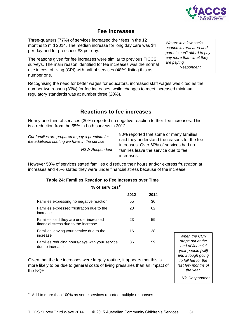

### **Fee Increases**

<span id="page-30-0"></span>Three-quarters (77%) of services increased their fees in the 12 months to mid 2014. The median increase for long day care was \$4 per day and for preschool \$3 per day.

The reasons given for fee increases were similar to previous TICCS surveys. The main reason identified for fee increases was the normal rise in cost of living (CPI) with half of services (48%) listing this as number one.

Recognising the need for better wages for educators, increased staff wages was cited as the number two reason (30%) for fee increases, while changes to meet increased minimum regulatory standards was at number three (20%).

## **Reactions to fee increases**

<span id="page-30-1"></span>Nearly one-third of services (30%) reported no negative reaction to their fee increases. This is a reduction from the 55% in both surveys in 2012.

*Our families are prepared to pay a premium for the additional staffing we have in the service*

*NSW Respondent*

80% reported that some or many families said they understand the reasons for the fee increases. Over 60% of services had no families leave the service due to fee increases.

However 50% of services stated families did reduce their hours and/or express frustration at increases and 45% stated they were under financial stress because of the increase.

| Table 24: Families Reaction to Fee Increases over Time |  |  |  |
|--------------------------------------------------------|--|--|--|
|--------------------------------------------------------|--|--|--|

<span id="page-30-2"></span>

| % of services <sup>11</sup>                                                    |      |      |  |
|--------------------------------------------------------------------------------|------|------|--|
|                                                                                | 2012 | 2014 |  |
| Families expressing no negative reaction                                       | 55   | 30   |  |
| Families expressed frustration due to the<br>increase                          | 28   | 62   |  |
| Families said they are under increased<br>financial stress due to the increase | 23   | 59   |  |
| Families leaving your service due to the<br>increase                           | 16   | 38   |  |
| Families reducing hours/days with your service<br>due to increase              | 36   | 59   |  |

Given that the fee increases were largely routine, it appears that this is more likely to be due to general costs of living pressures than an impact of the NQF.

*When the CCR drops out at the end of financial year people [will] find it tough going to full fee for the last few months of the year.*

*Vic Respondent*

-

*We are in a low socio economic rural area and parents can't afford to pay any more than what they are paying.*

*Respondent*

<sup>&</sup>lt;sup>11</sup> Add to more than 100% as some services reported multiple responses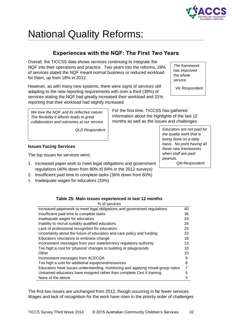

# <span id="page-31-0"></span>National Quality Reforms:

## **Experiences with the NQF: The First Two Years**

<span id="page-31-1"></span>Overall, the TICCSS data shows services continuing to integrate the NQF into their operations and practice. Two years into the reforms, 28% of services stated the NQF meant normal business or reduced workload for them, up from 18% in 2012.

However, as with many new systems, there were signs of services still adapting to the new reporting requirements with over a third (38%) of services stating the NQF had greatly increased their workload and 31% reporting that their workload had slightly increased.

*The framework has improved the whole service.*

*Vic Respondent*

*We love the NQF and its reflective nature. The flexibility it affords leads to great collaboration and outcomes at our service.*

*QLD Respondent*

### **Issues Facing Services**

The top issues for services were:

- 1. Increased paper work to meet legal obligations and government regulations (40% down from 80% t0 84% in the 2012 surveys)
- 2. Insufficient paid time to complete tasks (36% down from 60%)
- 3. Inadequate wages for educators (33%)

| Educators are not paid for |
|----------------------------|
| the quality work that is   |
| being done on a daily      |
| basis. No point having all |
| these new frameworks       |
| when staff are paid        |
| peanuts.                   |
|                            |

For the first time, TICCSS has gathered information about the highlights of the last 12 months as well as the issues and challenges.

*Qld Respondent*

#### **Table 25: Main issues experienced in last 12 months**

<span id="page-31-2"></span>

| % of services                                                                   |    |
|---------------------------------------------------------------------------------|----|
| Increased paperwork to meet legal obligations and government regulations        | 40 |
| Insufficient paid time to complete tasks                                        | 36 |
| Inadequate wages for educators                                                  | 33 |
| Inability to recruit suitably qualified educators                               | 24 |
| Lack of professional recognition for educators                                  | 24 |
| Uncertainty about the future of education and care policy and funding           | 22 |
| Educators reluctance to embrace change                                          | 18 |
| Inconsistent messages from your state/territory regulatory authority            | 13 |
| Too high a cost for 'physical' changes to building or playgrounds               | 10 |
| Other                                                                           | 10 |
| Inconsistent messages from ACECQA                                               | 9  |
| Too high a cost for additional equipment/resources                              | 8  |
| Educators have issues understanding, monitoring and applying mixed group ratios |    |
| Untrained educators have resigned rather than complete Cert II training         | 5  |
| None of the above                                                               | 3  |

The first two issues are unchanged from 2012, though occurring in far fewer services. Wages and lack of recognition for the work have risen in the priority order of challenges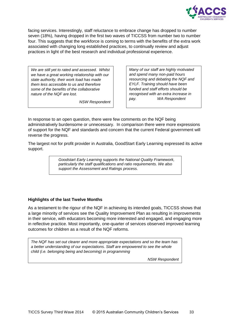

facing services. Interestingly, staff reluctance to embrace change has dropped to number seven (18%), having dropped in the first two waves of TICCSS from number two to number four. This suggests that the workforce is coming to terms with the benefits of the extra work associated with changing long established practices, to continually review and adjust practices in light of the best research and individual professional experience.

*We are still yet to rated and assessed. Whilst we have a great working relationship with our state authority, their work load has made them less accessible to us and therefore some of the benefits of the collaborative nature of the NQF are lost.*

*NSW Respondent*

*Many of our staff are highly motivated and spend many non-paid hours resourcing and debating the NQF and EYLF. Training should have been funded and staff efforts should be recognised with an extra increase in pay. WA Respondent*

In response to an open question, there were few comments on the NQF being administratively burdensome or unnecessary. In comparison there were more expressions of support for the NQF and standards and concern that the current Federal government will reverse the progress.

The largest not for profit provider in Australia, GoodStart Early Learning expressed its active support.

> *Goodstart Early Learning supports the National Quality Framework, particularly the staff qualifications and ratio requirements. We also support the Assessment and Ratings process.*

### **Highlights of the last Twelve Months**

As a testament to the rigour of the NQF in achieving its intended goals, TICCSS shows that a large minority of services see the Quality Improvement Plan as resulting in improvements in their service, with educators becoming more interested and engaged, and engaging more in reflective practice. Most importantly, one-quarter of services observed improved learning outcomes for children as a result of the NQF reforms.

*The NQF has set out clearer and more appropriate expectations and so the team has a better understanding of our expectations. Staff are empowered to see the whole child (i.e. belonging being and becoming) in programming*

*NSW Respondent*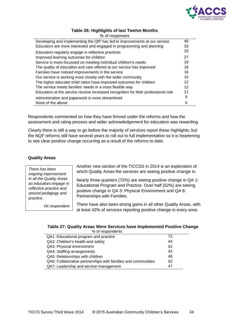

#### **Table 26: Highlights of last Twelve Months**

<span id="page-33-0"></span>

| % of responses                                                                     |    |
|------------------------------------------------------------------------------------|----|
| Developing and implementing the QIP has led to improvements at our service         | 40 |
| Educators are more interested and engaged in programming and planning              | 33 |
| Educators regularly engage in reflective practices                                 | 33 |
| Improved learning outcomes for children                                            | 27 |
| Service is more focussed on meeting individual children's needs                    | 19 |
| The quality of education and care offered at our service has improved              | 16 |
| Families have noticed improvements in the service                                  | 16 |
| Our service is working more closely with the wider community                       | 15 |
| The higher educator: child ratios have improved outcomes for children              | 12 |
| The service meets families' needs in a more flexible way                           | 12 |
| Educators at the service receive increased recognition for their professional role | 11 |
| Administration and paperwork is more streamlined                                   | 9  |
| None of the above                                                                  | 6  |
|                                                                                    |    |

Respondents commented on how they have thrived under the reforms and how the assessment and rating process and wider acknowledgement for educators was rewarding.

Clearly there is still a way to go before the majority of services report these highlights; but the NQF reforms still have several years to roll out to full implementation so it is heartening to see clear positive change occurring as a result of the reforms to date.

### **Quality Areas**

*There has been ongoing improvement in all the Quality Areas as educators engage in reflective practice and around pedagogy and practice.*

*Vic respondent*

Another new section of the TICCSS in 2014 is an exploration of which Quality Areas the services are seeing positive change in.

Nearly three-quarters (72%) are seeing positive change in QA 1: Educational Program and Practice. Over half (52%) are seeing positive change in QA 3: Physical Environment and QA 6: Partnerships with Families.

There have also been strong gains in all other Quality Areas, with at least 42% of services reporting positive change in every area.

#### <span id="page-33-1"></span>**Table 27: Quality Areas Were Services have Implemented Positive Change** % of respondents

| QA1: Educational program and practice                         | 72 |
|---------------------------------------------------------------|----|
| QA2: Children's health and safety                             | 44 |
| QA3: Physical environment                                     | 52 |
| QA4: Staffing arrangements                                    | 42 |
| QA5: Relationships with children                              | 46 |
| QA6: Collaborative partnerships with families and communities | 52 |
| QA7: Leadership and service management                        | 47 |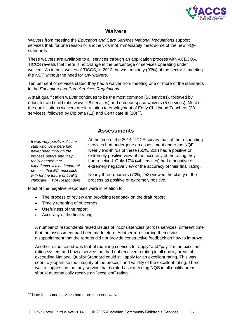

## **Waivers**

<span id="page-34-0"></span>Waivers from meeting the *Education and Care Services National Regulations* support services that, for one reason or another, cannot immediately meet some of the new NQF standards.

These waivers are available to all services through an application process with ACECQA. TICCS reveals that there is no change in the percentage of services operating under waivers. As in past waves of TICCS, in 2012 the vast majority (90%) of the sector is meeting the NQF without the need for any waivers.

Ten per cent of services stated they had a waiver from meeting one or more of the standards in the *Education and Care Services Regulations*.

A staff qualification waiver continues to be the most common (53 services), followed by educator and child ratio waiver (8 services) and outdoor space waivers (5 services). Most of the qualifications waivers are in relation to employment of Early Childhood Teachers (33 services), followed by Diploma (11) and Certificate III (10)  $^{12}$ .

### **Assessments**

<span id="page-34-1"></span>*It was very positive. All the staff who were here had never been through the process before and they really needed that experience. It's an important process that EC must stick with for the future of quality childcare. WA Respondent* At the time of the 2014 TICCS survey, half of the responding services had undergone an assessment under the NQF. Nearly two-thirds of these (60%, 228) had a positive or extremely positive view of the accuracy of the rating they had received. Only 17% (44 services) had a negative or extremely negative view of the accuracy of their final rating.

Nearly three-quarters (70%, 253) viewed the clarity of the process as positive or extremely positive.

Most of the negative responses were in relation to:

- The process of review and providing feedback on the draft report
- Timely reporting of outcomes
- Usefulness of the report
- Accuracy of the final rating

A number of respondents raised issues of inconsistencies (across services, different time that the assessment had been made etc.). Another re-occurring theme was disappointment that the reports did not provide constructive feedback on how to improve.

Another issue raised was that of requiring services to "apply" and "pay" for the excellent rating system and how a service that had not received a rating in all quality areas of exceeding National Quality Standard could still apply for an excellent rating. This was seen to jeopardise the integrity of the process and validity of the excellent rating. There was a suggestion that any service that is rated as exceeding NQS in all quality areas should automatically receive an "excellent" rating.

-

<sup>&</sup>lt;sup>12</sup> Note that some services had more than one waiver.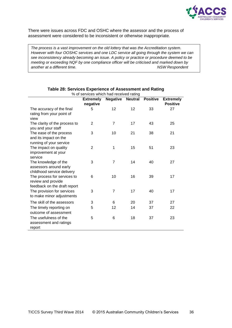

There were issues across FDC and OSHC where the assessor and the process of assessment were considered to be inconsistent or otherwise inappropriate.

*The process is a vast improvement on the old lottery that was the Accreditation system. However with four OOSHC services and one LDC service all going through the system we can see inconsistency already becoming an issue. A policy or practice or procedure deemed to be meeting or exceeding NQF by one compliance officer will be criticised and marked down by another at a different time. NSW Respondent*

<span id="page-35-0"></span>

| % of services which had received rating                                           |                  |                 |                |                 |                  |
|-----------------------------------------------------------------------------------|------------------|-----------------|----------------|-----------------|------------------|
|                                                                                   | <b>Extremely</b> | <b>Negative</b> | <b>Neutral</b> | <b>Positive</b> | <b>Extremely</b> |
|                                                                                   | negative         |                 |                |                 | <b>Positive</b>  |
| The accuracy of the final<br>rating from your point of<br>view                    | 5                | 12              | 12             | 33              | 27               |
| The clarity of the process to<br>you and your staff                               | 2                | 7               | 17             | 43              | 25               |
| The ease of the process<br>and its impact on the<br>running of your service       | 3                | 10              | 21             | 38              | 21               |
| The impact on quality<br>improvement at your<br>service                           | $\overline{2}$   | 1               | 15             | 51              | 23               |
| The knowledge of the<br>assessors around early<br>childhood service delivery      | 3                | $\overline{7}$  | 14             | 40              | 27               |
| The process for services to<br>review and provide<br>feedback on the draft report | 6                | 10              | 16             | 39              | 17               |
| The provision for services<br>to make minor adjustments                           | 3                | 7               | 17             | 40              | 17               |
| The skill of the assessors                                                        | 3                | 6               | 20             | 37              | 27               |
| The timely reporting on<br>outcome of assessment                                  | 5                | 12              | 14             | 37              | 22               |
| The usefulness of the<br>assessment and ratings<br>report                         | 5                | 6               | 18             | 37              | 23               |

#### **Table 28: Services Experience of Assessment and Rating**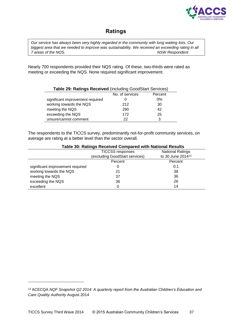

## <span id="page-36-0"></span>**Ratings**

*Our service has always been very highly regarded in the community with long waiting lists. Our biggest area that we needed to improve was sustainability. We received an exceeding rating in all 7 areas of the NQS. NSW Respondent*

Nearly 700 respondents provided their NQS rating. Of these, two-thirds were rated as meeting or exceeding the NQS. None required significant improvement.

<span id="page-36-1"></span>

| Table 29: Ratings Received (including GoodStart Services) |                 |         |  |
|-----------------------------------------------------------|-----------------|---------|--|
|                                                           | No. of services | Percent |  |
| significant improvement required                          |                 | $0\%$   |  |
| working towards the NQS                                   | 212             | 30      |  |
| meeting the NQS                                           | 290             | 42      |  |
| exceeding the NQS                                         | 172             | 25      |  |
| unsure/cannot comment                                     | 22              |         |  |

The respondents to the TICCS survey, predominantly not-for-profit community services, on average are rating at a better level than the sector overall.

<span id="page-36-2"></span>

| <b>Table 30: Ratings Received Compared with National Results</b> |                                |                               |
|------------------------------------------------------------------|--------------------------------|-------------------------------|
|                                                                  | <b>TICCSS responses</b>        | <b>National Ratings</b>       |
|                                                                  | (excluding GoodStart services) | to 30 June 2014 <sup>13</sup> |
|                                                                  | Percent                        | Percent                       |
| significant improvement required                                 | O                              | 0.1                           |
| working towards the NQS                                          | 21                             | 38                            |
| meeting the NQS                                                  | 37                             | 36                            |
| exceeding the NQS                                                | 36                             | 26                            |
| excellent                                                        | 0                              | 14                            |

-

<sup>13</sup> ACECQA *NQF Snapshot Q2 2014: A quarterly report from the Australian Children's Education and Care Quality Authority* August 2014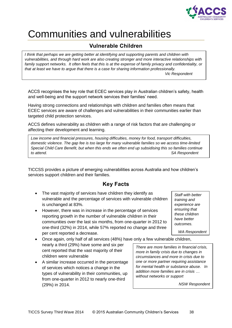

## <span id="page-37-0"></span>Communities and vulnerabilities

## <span id="page-37-1"></span>**Vulnerable Children**

*I think that perhaps we are getting better at identifying and supporting parents and children with vulnerabilities, and through hard work are also creating stronger and more interactive relationships with*  family support networks. It often feels that this is at the expense of family privacy and confidentiality, or *that at least we have to argue that there is a case for sharing information professionally. Vic Respondent*

ACCS recognises the key role that ECEC services play in Australian children's safety, health and well-being and the support network services their families' need.

Having strong connections and relationships with children and families often means that ECEC services are aware of challenges and vulnerabilities in their communities earlier than targeted child protection services.

ACCS defines vulnerability as children with a range of risk factors that are challenging or affecting their development and learning.

*Low income and financial pressures, housing difficulties, money for food, transport difficulties, domestic violence. The gap fee is too large for many vulnerable families so we access time-limited Special Child Care Benefit, but when this ends we often end up subsidising this so families continue to attend. SA Respondent*

TICCSS provides a picture of emerging vulnerabilities across Australia and how children's services support children and their families.

## **Key Facts**

- <span id="page-37-2"></span> The vast majority of services have children they identify as vulnerable and the percentage of services with vulnerable children is unchanged at 83%.
- However, there was in increase in the percentage of services reporting growth in the number of vulnerable children in their communities over the last six months, from one-quarter in 2012 to one-third (32%) in 2014, while 57% reported no change and three per cent reported a decrease.
- Once again, only half of all services (48%) have only a few vulnerable children, nearly a third (29%) have some and six per cent reported that the vast majority of their children were vulnerable
- A similar increase occurred in the percentage of services which notices a change in the types of vulnerability in their communities, up from one-quarter in 2012 to nearly one-third (29%) in 2014.

*There are more families in financial crisis, more in family crisis due to changes in circumstances and more in crisis due to one or more partner requiring assistance for mental health or substance abuse. In addition more families are in crisis … without networks or support*

*NSW Respondent*

*experience are ensuring that these children have better outcomes. WA Respondent*

*Staff with better training and*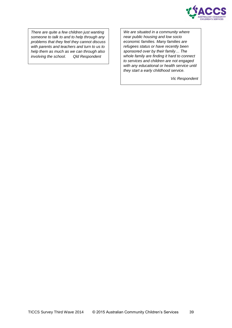

*There are quite a few children just wanting someone to talk to and to help through any problems that they feel they cannot discuss with parents and teachers and turn to us to help them as much as we can through also involving the school. Qld Respondent*

*We are situated in a community where near public housing and low socio economic families. Many families are refugees status or have recently been sponsored over by their family… The whole family are finding it hard to connect to services and children are not engaged with any educational or health service until they start a early childhood service.*

*Vic Respondent*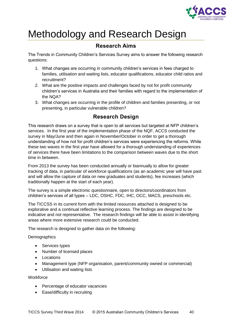

## <span id="page-39-0"></span>Methodology and Research Design

## **Research Aims**

<span id="page-39-1"></span>The Trends in Community Children's Services Survey aims to answer the following research questions:

- 1. What changes are occurring in community children's services in fees charged to families, utilisation and waiting lists, educator qualifications, educator child ratios and recruitment?
- 2. What are the positive impacts and challenges faced by not for profit community children's services in Australia and their families with regard to the implementation of the NQA?
- 3. What changes are occurring in the profile of children and families presenting, or not presenting, in particular vulnerable children?

## **Research Design**

<span id="page-39-2"></span>This research draws on a survey that is open to all services but targeted at NFP children's services. In the first year of the implementation phase of the NQF, ACCS conducted the survey in May/June and then again in November/October in order to get a thorough understanding of how not for profit children's services were experiencing the reforms. While these two waves in the first year have allowed for a thorough understanding of experiences of services there have been limitations to the comparison between waves due to the short time in between.

From 2013 the survey has been conducted annually or biannually to allow for greater tracking of data, in particular of workforce qualifications (as an academic year will have past and will allow the capture of data on new graduates and students), fee increases (which traditionally happen at the start of each year).

The survey is a simple electronic questionnaire, open to directors/coordinators from children's services of all types – LDC, OSHC, FDC, IHC, OCC, MACS, preschools etc.

The TICCSS in its current form with the limited resources attached is designed to be explorative and a continual reflective learning process. The findings are designed to be indicative and not representative. The research findings will be able to assist in identifying areas where more extensive research could be conducted.

The research is designed to gather data on the following:

**Demographics** 

- Services types
- Number of licensed places
- Locations
- Management type (NFP organisation, parent/community owned or commercial)
- Utilisation and waiting lists

**Workforce** 

- Percentage of educator vacancies
- Ease/difficulty in recruiting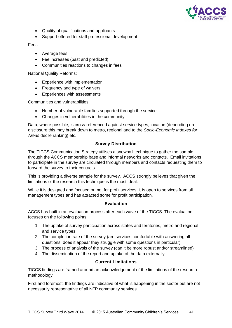

- Quality of qualifications and applicants
- Support offered for staff professional development

#### Fees:

- Average fees
- Fee increases (past and predicted)
- Communities reactions to changes in fees

National Quality Reforms:

- Experience with implementation
- Frequency and type of waivers
- Experiences with assessments

Communities and vulnerabilities

- Number of vulnerable families supported through the service
- Changes in vulnerabilities in the community

Data, where possible, is cross-referenced against service types, location (depending on disclosure this may break down to metro, regional and to the *Socio-Economic Indexes for Areas* decile ranking) etc.

### **Survey Distribution**

<span id="page-40-0"></span>The TICCS Communication Strategy utilises a snowball technique to gather the sample through the ACCS membership base and informal networks and contacts. Email invitations to participate in the survey are circulated through members and contacts requesting them to forward the survey to their contacts.

This is providing a diverse sample for the survey. ACCS strongly believes that given the limitations of the research this technique is the most ideal.

While it is designed and focused on not for profit services, it is open to services from all management types and has attracted some for profit participation.

#### **Evaluation**

<span id="page-40-1"></span>ACCS has built in an evaluation process after each wave of the TICCS. The evaluation focuses on the following points:

- 1. The uptake of survey participation across states and territories, metro and regional and service types
- 2. The completion rate of the survey (are services comfortable with answering all questions, does it appear they struggle with some questions in particular)
- 3. The process of analysis of the survey (can it be more robust and/or streamlined)
- 4. The dissemination of the report and uptake of the data externally

#### **Current Limitations**

<span id="page-40-2"></span>TICCS findings are framed around an acknowledgement of the limitations of the research methodology.

First and foremost, the findings are indicative of what is happening in the sector but are not necessarily representative of all NFP community services.